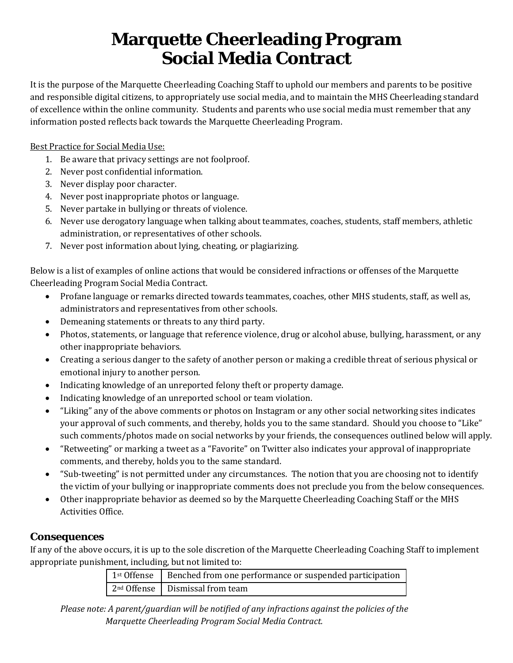## **Marquette Cheerleading Program Social Media Contract**

It is the purpose of the Marquette Cheerleading Coaching Staff to uphold our members and parents to be positive and responsible digital citizens, to appropriately use social media, and to maintain the MHS Cheerleading standard of excellence within the online community. Students and parents who use social media must remember that any information posted reflects back towards the Marquette Cheerleading Program.

Best Practice for Social Media Use:

- 1. Be aware that privacy settings are not foolproof.
- 2. Never post confidential information.
- 3. Never display poor character.
- 4. Never post inappropriate photos or language.
- 5. Never partake in bullying or threats of violence.
- 6. Never use derogatory language when talking about teammates, coaches, students, staff members, athletic administration, or representatives of other schools.
- 7. Never post information about lying, cheating, or plagiarizing.

Below is a list of examples of online actions that would be considered infractions or offenses of the Marquette Cheerleading Program Social Media Contract.

- Profane language or remarks directed towards teammates, coaches, other MHS students, staff, as well as, administrators and representatives from other schools.
- Demeaning statements or threats to any third party.
- Photos, statements, or language that reference violence, drug or alcohol abuse, bullying, harassment, or any other inappropriate behaviors.
- Creating a serious danger to the safety of another person or making a credible threat of serious physical or emotional injury to another person.
- Indicating knowledge of an unreported felony theft or property damage.
- Indicating knowledge of an unreported school or team violation.
- "Liking" any of the above comments or photos on Instagram or any other social networking sites indicates your approval of such comments, and thereby, holds you to the same standard. Should you choose to "Like" such comments/photos made on social networks by your friends, the consequences outlined below will apply.
- "Retweeting" or marking a tweet as a "Favorite" on Twitter also indicates your approval of inappropriate comments, and thereby, holds you to the same standard.
- "Sub-tweeting" is not permitted under any circumstances. The notion that you are choosing not to identify the victim of your bullying or inappropriate comments does not preclude you from the below consequences.
- Other inappropriate behavior as deemed so by the Marquette Cheerleading Coaching Staff or the MHS Activities Office.

## **Consequences**

If any of the above occurs, it is up to the sole discretion of the Marquette Cheerleading Coaching Staff to implement appropriate punishment, including, but not limited to:

| 1 <sup>st</sup> Offense   Benched from one performance or suspended participation |
|-----------------------------------------------------------------------------------|
| $2nd$ Offense   Dismissal from team                                               |

*Please note: A parent/guardian will be notified of any infractions against the policies of the Marquette Cheerleading Program Social Media Contract.*